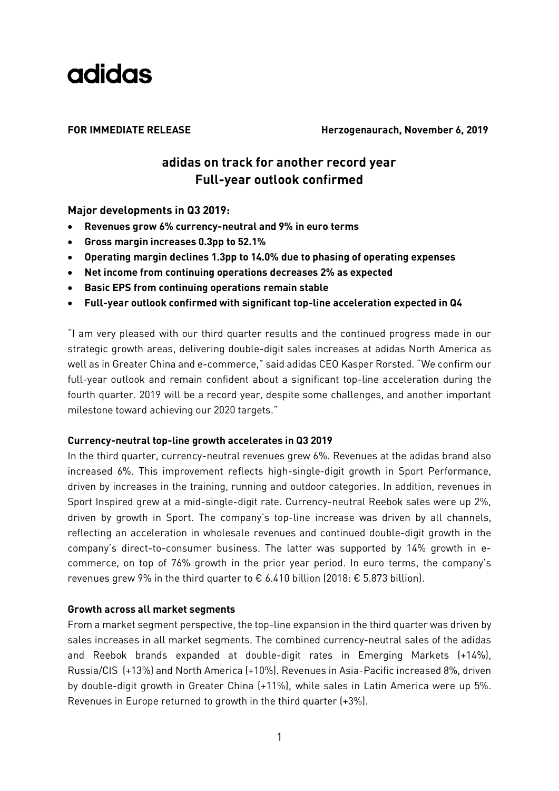

**FOR IMMEDIATE RELEASE Herzogenaurach, November 6, 2019**

## **adidas on track for another record year Full-year outlook confirmed**

**Major developments in Q3 2019:**

- **Revenues grow 6% currency-neutral and 9% in euro terms**
- **Gross margin increases 0.3pp to 52.1%**
- **Operating margin declines 1.3pp to 14.0% due to phasing of operating expenses**
- **Net income from continuing operations decreases 2% as expected**
- **Basic EPS from continuing operations remain stable**
- **Full-year outlook confirmed with significant top-line acceleration expected in Q4**

"I am very pleased with our third quarter results and the continued progress made in our strategic growth areas, delivering double-digit sales increases at adidas North America as well as in Greater China and e-commerce," said adidas CEO Kasper Rorsted. "We confirm our full-year outlook and remain confident about a significant top-line acceleration during the fourth quarter. 2019 will be a record year, despite some challenges, and another important milestone toward achieving our 2020 targets."

### **Currency-neutral top-line growth accelerates in Q3 2019**

In the third quarter, currency-neutral revenues grew 6%. Revenues at the adidas brand also increased 6%. This improvement reflects high-single-digit growth in Sport Performance, driven by increases in the training, running and outdoor categories. In addition, revenues in Sport Inspired grew at a mid-single-digit rate. Currency-neutral Reebok sales were up 2%, driven by growth in Sport. The company's top-line increase was driven by all channels, reflecting an acceleration in wholesale revenues and continued double-digit growth in the company's direct-to-consumer business. The latter was supported by 14% growth in ecommerce, on top of 76% growth in the prior year period. In euro terms, the company's revenues grew 9% in the third quarter to  $\epsilon$  6.410 billion (2018:  $\epsilon$  5.873 billion).

### **Growth across all market segments**

From a market segment perspective, the top-line expansion in the third quarter was driven by sales increases in all market segments. The combined currency-neutral sales of the adidas and Reebok brands expanded at double-digit rates in Emerging Markets (+14%), Russia/CIS (+13%) and North America (+10%). Revenues in Asia-Pacific increased 8%, driven by double-digit growth in Greater China (+11%), while sales in Latin America were up 5%. Revenues in Europe returned to growth in the third quarter (+3%).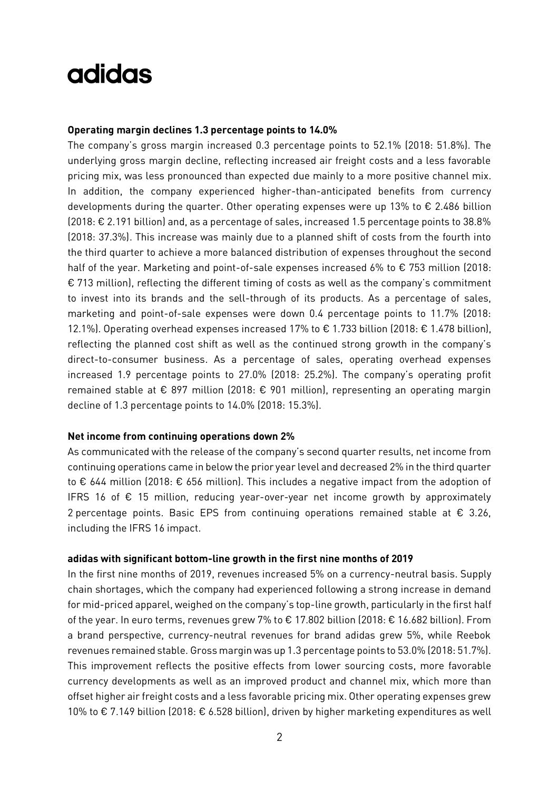#### **Operating margin declines 1.3 percentage points to 14.0%**

The company's gross margin increased 0.3 percentage points to 52.1% (2018: 51.8%). The underlying gross margin decline, reflecting increased air freight costs and a less favorable pricing mix, was less pronounced than expected due mainly to a more positive channel mix. In addition, the company experienced higher-than-anticipated benefits from currency developments during the quarter. Other operating expenses were up 13% to  $\epsilon$  2.486 billion (2018: € 2.191 billion) and, as a percentage of sales, increased 1.5 percentage points to 38.8% (2018: 37.3%). This increase was mainly due to a planned shift of costs from the fourth into the third quarter to achieve a more balanced distribution of expenses throughout the second half of the year. Marketing and point-of-sale expenses increased 6% to € 753 million (2018: € 713 million), reflecting the different timing of costs as well as the company's commitment to invest into its brands and the sell-through of its products. As a percentage of sales, marketing and point-of-sale expenses were down 0.4 percentage points to 11.7% (2018: 12.1%). Operating overhead expenses increased 17% to € 1.733 billion (2018: € 1.478 billion), reflecting the planned cost shift as well as the continued strong growth in the company's direct-to-consumer business. As a percentage of sales, operating overhead expenses increased 1.9 percentage points to 27.0% (2018: 25.2%). The company's operating profit remained stable at € 897 million (2018: € 901 million), representing an operating margin decline of 1.3 percentage points to 14.0% (2018: 15.3%).

#### **Net income from continuing operations down 2%**

As communicated with the release of the company's second quarter results, net income from continuing operations came in below the prior year level and decreased 2% in the third quarter to € 644 million (2018: € 656 million). This includes a negative impact from the adoption of IFRS 16 of  $\epsilon$  15 million, reducing year-over-year net income growth by approximately 2 percentage points. Basic EPS from continuing operations remained stable at  $\epsilon$  3.26, including the IFRS 16 impact.

#### **adidas with significant bottom-line growth in the first nine months of 2019**

In the first nine months of 2019, revenues increased 5% on a currency-neutral basis. Supply chain shortages, which the company had experienced following a strong increase in demand for mid-priced apparel, weighed on the company's top-line growth, particularly in the first half of the year. In euro terms, revenues grew 7% to € 17.802 billion (2018: € 16.682 billion). From a brand perspective, currency-neutral revenues for brand adidas grew 5%, while Reebok revenues remained stable. Gross margin was up 1.3 percentage points to 53.0% (2018: 51.7%). This improvement reflects the positive effects from lower sourcing costs, more favorable currency developments as well as an improved product and channel mix, which more than offset higher air freight costs and a less favorable pricing mix. Other operating expenses grew 10% to € 7.149 billion (2018: € 6.528 billion), driven by higher marketing expenditures as well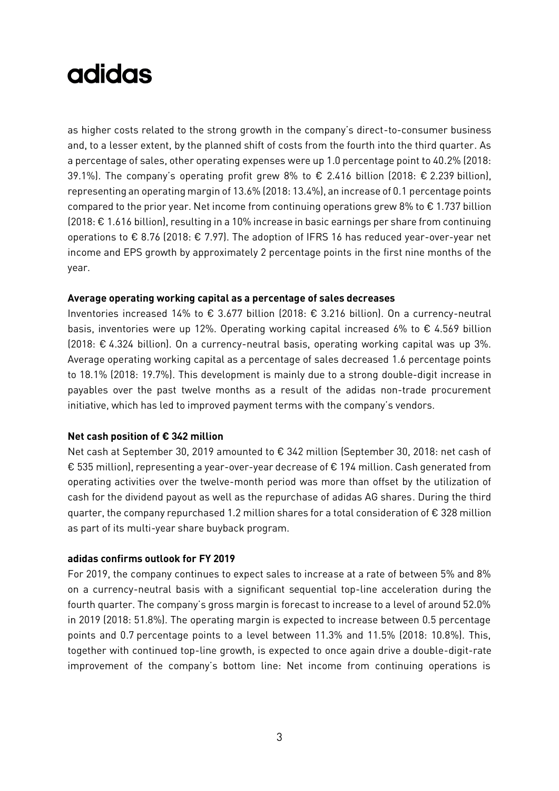as higher costs related to the strong growth in the company's direct-to-consumer business and, to a lesser extent, by the planned shift of costs from the fourth into the third quarter. As a percentage of sales, other operating expenses were up 1.0 percentage point to 40.2% (2018: 39.1%). The company's operating profit grew 8% to € 2.416 billion (2018: € 2.239 billion), representing an operating margin of 13.6% (2018: 13.4%), an increase of 0.1 percentage points compared to the prior year. Net income from continuing operations grew 8% to  $\epsilon$  1.737 billion (2018: € 1.616 billion), resulting in a 10% increase in basic earnings per share from continuing operations to € 8.76 (2018: € 7.97). The adoption of IFRS 16 has reduced year-over-year net income and EPS growth by approximately 2 percentage points in the first nine months of the year.

#### **Average operating working capital as a percentage of sales decreases**

Inventories increased 14% to € 3.677 billion (2018: € 3.216 billion). On a currency-neutral basis, inventories were up 12%. Operating working capital increased 6% to  $\epsilon$  4.569 billion (2018: € 4.324 billion). On a currency-neutral basis, operating working capital was up 3%. Average operating working capital as a percentage of sales decreased 1.6 percentage points to 18.1% (2018: 19.7%). This development is mainly due to a strong double-digit increase in payables over the past twelve months as a result of the adidas non-trade procurement initiative, which has led to improved payment terms with the company's vendors.

### **Net cash position of € 342 million**

Net cash at September 30, 2019 amounted to € 342 million (September 30, 2018: net cash of € 535 million), representing a year-over-year decrease of € 194 million. Cash generated from operating activities over the twelve-month period was more than offset by the utilization of cash for the dividend payout as well as the repurchase of adidas AG shares. During the third quarter, the company repurchased 1.2 million shares for a total consideration of € 328 million as part of its multi-year share buyback program.

### **adidas confirms outlook for FY 2019**

For 2019, the company continues to expect sales to increase at a rate of between 5% and 8% on a currency-neutral basis with a significant sequential top-line acceleration during the fourth quarter. The company's gross margin is forecast to increase to a level of around 52.0% in 2019 (2018: 51.8%). The operating margin is expected to increase between 0.5 percentage points and 0.7 percentage points to a level between 11.3% and 11.5% (2018: 10.8%). This, together with continued top-line growth, is expected to once again drive a double-digit-rate improvement of the company's bottom line: Net income from continuing operations is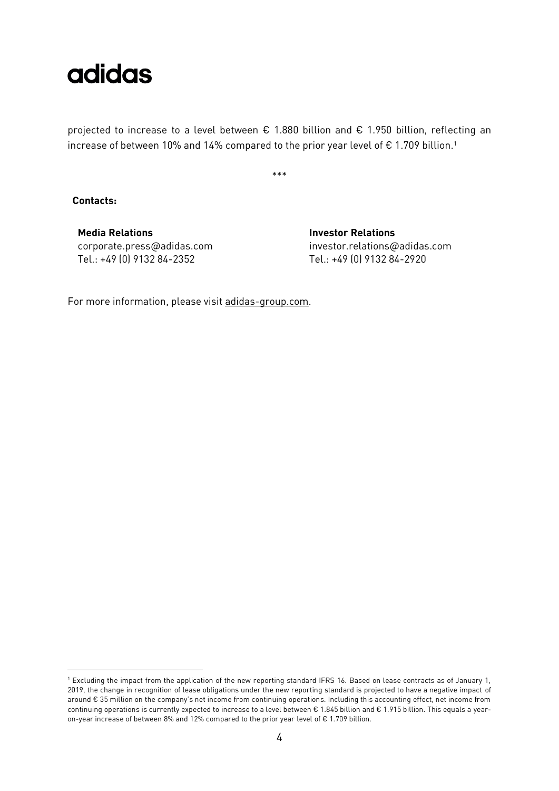

projected to increase to a level between € 1.880 billion and € 1.950 billion, reflecting an increase of between 10% and 14% compared to the prior year level of  $\epsilon$  1.709 billion.<sup>1</sup>

\*\*\*

**Contacts:** 

-

**Media Relations Investor Relations** corporate.press@adidas.com Tel.: +49 (0) 9132 84-2352

investor.relations@adidas.com Tel.: +49 (0) 9132 84-2920

For more information, please visit [adidas-group.com.](http://www.adidas-group.com/)

<sup>1</sup> Excluding the impact from the application of the new reporting standard IFRS 16. Based on lease contracts as of January 1, 2019, the change in recognition of lease obligations under the new reporting standard is projected to have a negative impact of around € 35 million on the company's net income from continuing operations. Including this accounting effect, net income from continuing operations is currently expected to increase to a level between € 1.845 billion and € 1.915 billion. This equals a yearon-year increase of between 8% and 12% compared to the prior year level of € 1.709 billion.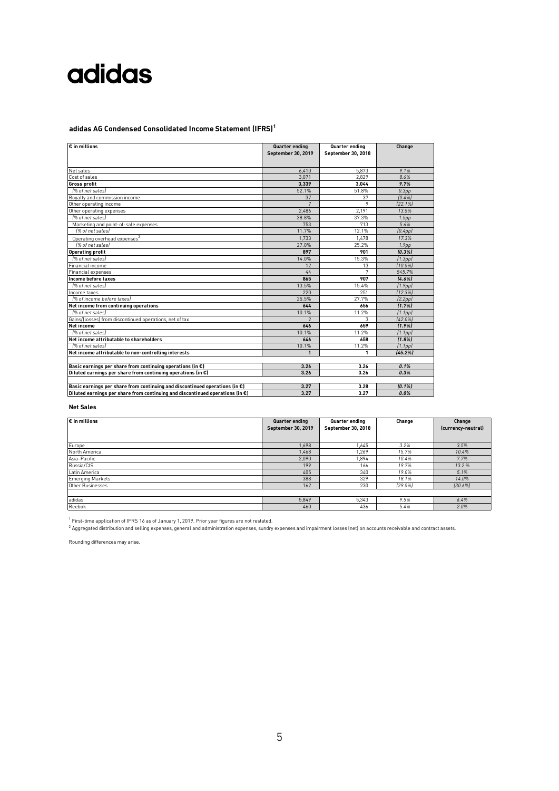### **adidas AG Condensed Consolidated Income Statement (IFRS)<sup>1</sup>**

| € in millions                                                                           | Quarter ending<br>September 30, 2019 | Quarter ending<br>September 30, 2018 | Change               |
|-----------------------------------------------------------------------------------------|--------------------------------------|--------------------------------------|----------------------|
| Net sales                                                                               | 6.410                                | 5.873                                | 9.1%                 |
| Cost of sales                                                                           | 3.071                                | 2.829                                | 8.6%                 |
| Gross profit                                                                            | 3.339                                | 3.044                                | 9.7%                 |
| 1% of net sales)                                                                        | 52.1%                                | 51.8%                                | 0.3 <sub>pp</sub>    |
| Rovalty and commission income                                                           | 37                                   | 37                                   | [0.4%]               |
| Other operating income                                                                  | 7                                    | 9                                    | [22.1%]              |
| Other operating expenses                                                                | 2.486                                | 2.191                                | 13.5%                |
| 1% of net sales)                                                                        | 38.8%                                | 37.3%                                | 1.5 <sub>pp</sub>    |
| Marketing and point-of-sale expenses                                                    | 753                                  | 713                                  | 5.6%                 |
| 1% of net sales)                                                                        | 11.7%                                | 12.1%                                | $[0.4$ pp $]$        |
| Operating overhead expenses <sup>2</sup>                                                | 1.733                                | 1.478                                | 17.3%                |
| [% of net sales]                                                                        | 27.0%                                | 25.2%                                | 1.9 <sub>pp</sub>    |
| <b>Operating profit</b>                                                                 | 897                                  | 901                                  | [0.3%]               |
| 1% of net sales)                                                                        | 14.0%                                | 15.3%                                | (1.3 <sub>pp</sub> ) |
| Financial income                                                                        | 12                                   | 13                                   | (10.5%)              |
| Financial expenses                                                                      | 44                                   |                                      | 545.7%               |
| Income before taxes                                                                     | 865                                  | 907                                  | [4.6%]               |
| 1% of net sales)                                                                        | 13.5%                                | 15.4%                                | (1.9pp)              |
| Income taxes                                                                            | 220                                  | 251                                  | [12.3%]              |
| [% of income before taxes]                                                              | 25.5%                                | 27.7%                                | (2.2pp)              |
| Net income from continuing operations                                                   | 644                                  | 656                                  | (1.7%                |
| 1% of net sales                                                                         | 10.1%                                | 11.2%                                | (1.1 <sub>pp</sub> ) |
| Gains/(losses) from discontinued operations, net of tax                                 | $\mathfrak{p}$                       | 3                                    | [42.0%]              |
| <b>Net income</b>                                                                       | 646                                  | 659                                  | (1.9%                |
| 1% of net sales)                                                                        | 10.1%                                | 11.2%                                | (1.1pp)              |
| Net income attributable to shareholders                                                 | 646                                  | 658                                  | (1.8%                |
| 1% of net sales)                                                                        | 10.1%                                | 11.2%                                | (1.1 <sub>pp</sub> ) |
| Net income attributable to non-controlling interests                                    | $\mathbf{1}$                         | 1                                    | (45.2%)              |
| Basic earnings per share from continuing operations (in $\epsilon$ )                    | 3.26                                 | 3.26                                 | 0.1%                 |
| Diluted earnings per share from continuing operations (in $\epsilon$ )                  | 3.26                                 | 3.26                                 | 0.3%                 |
| Basic earnings per share from continuing and discontinued operations (in $\epsilon$ )   | 3.27                                 | 3.28                                 | $[0.1\%]$            |
| Diluted earnings per share from continuing and discontinued operations (in $\epsilon$ ) | 3.27                                 | 3.27                                 | 0.0%                 |

#### **Net Sales**

| $\varepsilon$ in millions | Quarter ending<br>September 30, 2019 | Quarter ending<br>September 30, 2018 | Change  | Change<br>(currency-neutral) |
|---------------------------|--------------------------------------|--------------------------------------|---------|------------------------------|
| Europe                    | 1.698                                | 1.645                                | 3.2%    | 3.5%                         |
| North America             | 1.468                                | 1.269                                | 15.7%   | 10.4%                        |
| Asia-Pacific              | 2,090                                | 1,894                                | 10.4%   | 7.7%                         |
| Russia/CIS                | 199                                  | 166                                  | 19.7%   | 13.2%                        |
| Latin America             | 405                                  | 340                                  | 19.0%   | 5.1%                         |
| <b>Emerging Markets</b>   | 388                                  | 329                                  | 18.1%   | 14.0%                        |
| Other Businesses          | 162                                  | 230                                  | [29.5%] | 130.6%                       |
|                           |                                      |                                      |         |                              |
| adidas                    | 5.849                                | 5.343                                | 9.5%    | 6.4%                         |
| Reebok                    | 460                                  | 436                                  | 5.4%    | 2.0%                         |

<sup>1</sup> First-time application of IFRS 16 as of January 1, 2019. Prior year figures are not restated.<br><sup>2</sup> Aggregated distribution and selling expenses, general and administration expenses, sundry expenses and impairment losses

Rounding differences may arise.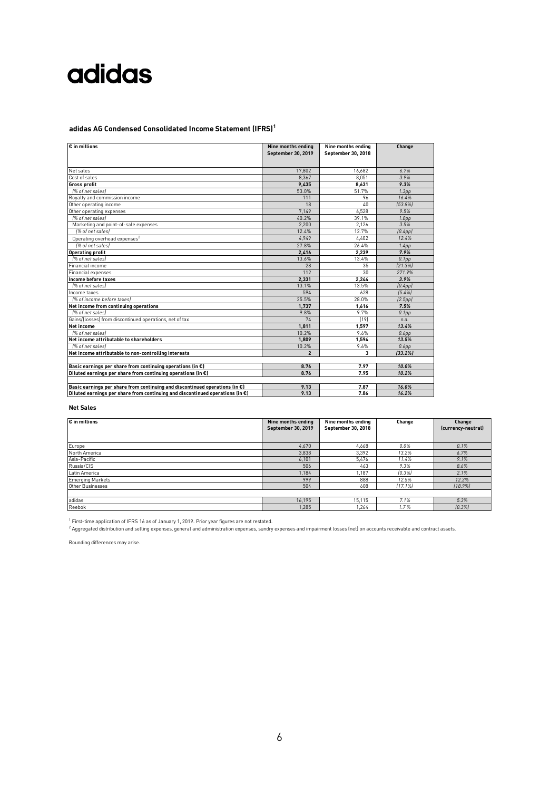### **adidas AG Condensed Consolidated Income Statement (IFRS)<sup>1</sup>**

| 17.802<br>16.682<br>6.7%<br>Net sales<br>3.9%<br>8.367<br>8.051<br>Cost of sales<br>9.3%<br>9,435<br><b>Gross profit</b><br>8,631<br>51.7%<br>1% of net sales)<br>53.0%<br>1.3 <sub>pp</sub><br>111<br>96<br>16.4%<br>Royalty and commission income<br>Other operating income<br>18<br>40<br>153.8%<br>6.528<br>7.149<br>9.5%<br>Other operating expenses<br>39.1%<br>1% of net sales)<br>40.2%<br>1.0 <sub>pp</sub><br>3.5%<br>2.200<br>2.126<br>Marketing and point-of-sale expenses<br>I% of net salesl<br>12.4%<br>12.7%<br>(0.4pp)<br>4.949<br>4.402<br>12.4%<br>Operating overhead expenses <sup>2</sup><br>[% of net sales]<br>27.8%<br>26.4%<br>1.4 <sub>pp</sub><br>7.9%<br>Operating profit<br>2,416<br>2.239<br>[% of net sales]<br>13.6%<br>13.4%<br>0.1 <sub>pp</sub><br>28<br>35<br>[21.3%]<br>Financial income<br>30<br>112<br>271.9%<br>Financial expenses<br>3.9%<br>Income before taxes<br>2,331<br>2,244<br>13.1%<br>13.5%<br>[% of net sales]<br>(0.4pp)<br>628<br>594<br>[5.4%]<br>Income taxes<br>25.5%<br>28.0%<br>I% of income before taxes)<br>(2.5pp)<br>Net income from continuing operations<br>1.737<br>1,616<br>7.5%<br>9.7%<br>1% of net sales)<br>9.8%<br>0.1 <sub>pp</sub><br>[19]<br>Gains/(losses) from discontinued operations, net of tax<br>74<br>n.a.<br>1.811<br>1.597<br>13.4%<br>1% of net sales)<br>10.2%<br>9.6%<br>$0.6$ pp<br>Net income attributable to shareholders<br>13.5%<br>1.809<br>1.594<br>1% of net sales)<br>10.2%<br>9.6%<br>$0.6$ pp<br>Net income attributable to non-controlling interests<br>$\overline{2}$<br>[33.2%]<br>3<br>10.0%<br>8.76<br>7.97<br>7.95<br>8.76<br>10.2% | $\epsilon$ in millions                                                                | Nine months ending<br>September 30, 2019 | Nine months ending<br>September 30, 2018 | Change |
|---------------------------------------------------------------------------------------------------------------------------------------------------------------------------------------------------------------------------------------------------------------------------------------------------------------------------------------------------------------------------------------------------------------------------------------------------------------------------------------------------------------------------------------------------------------------------------------------------------------------------------------------------------------------------------------------------------------------------------------------------------------------------------------------------------------------------------------------------------------------------------------------------------------------------------------------------------------------------------------------------------------------------------------------------------------------------------------------------------------------------------------------------------------------------------------------------------------------------------------------------------------------------------------------------------------------------------------------------------------------------------------------------------------------------------------------------------------------------------------------------------------------------------------------------------------------------------------------------------------------------------------------|---------------------------------------------------------------------------------------|------------------------------------------|------------------------------------------|--------|
|                                                                                                                                                                                                                                                                                                                                                                                                                                                                                                                                                                                                                                                                                                                                                                                                                                                                                                                                                                                                                                                                                                                                                                                                                                                                                                                                                                                                                                                                                                                                                                                                                                             |                                                                                       |                                          |                                          |        |
|                                                                                                                                                                                                                                                                                                                                                                                                                                                                                                                                                                                                                                                                                                                                                                                                                                                                                                                                                                                                                                                                                                                                                                                                                                                                                                                                                                                                                                                                                                                                                                                                                                             |                                                                                       |                                          |                                          |        |
|                                                                                                                                                                                                                                                                                                                                                                                                                                                                                                                                                                                                                                                                                                                                                                                                                                                                                                                                                                                                                                                                                                                                                                                                                                                                                                                                                                                                                                                                                                                                                                                                                                             |                                                                                       |                                          |                                          |        |
|                                                                                                                                                                                                                                                                                                                                                                                                                                                                                                                                                                                                                                                                                                                                                                                                                                                                                                                                                                                                                                                                                                                                                                                                                                                                                                                                                                                                                                                                                                                                                                                                                                             |                                                                                       |                                          |                                          |        |
| <b>Net income</b><br>Basic earnings per share from continuing operations (in $\epsilon$ )<br>Diluted earnings per share from continuing operations (in $\epsilon$ )                                                                                                                                                                                                                                                                                                                                                                                                                                                                                                                                                                                                                                                                                                                                                                                                                                                                                                                                                                                                                                                                                                                                                                                                                                                                                                                                                                                                                                                                         |                                                                                       |                                          |                                          |        |
|                                                                                                                                                                                                                                                                                                                                                                                                                                                                                                                                                                                                                                                                                                                                                                                                                                                                                                                                                                                                                                                                                                                                                                                                                                                                                                                                                                                                                                                                                                                                                                                                                                             |                                                                                       |                                          |                                          |        |
|                                                                                                                                                                                                                                                                                                                                                                                                                                                                                                                                                                                                                                                                                                                                                                                                                                                                                                                                                                                                                                                                                                                                                                                                                                                                                                                                                                                                                                                                                                                                                                                                                                             |                                                                                       |                                          |                                          |        |
|                                                                                                                                                                                                                                                                                                                                                                                                                                                                                                                                                                                                                                                                                                                                                                                                                                                                                                                                                                                                                                                                                                                                                                                                                                                                                                                                                                                                                                                                                                                                                                                                                                             |                                                                                       |                                          |                                          |        |
|                                                                                                                                                                                                                                                                                                                                                                                                                                                                                                                                                                                                                                                                                                                                                                                                                                                                                                                                                                                                                                                                                                                                                                                                                                                                                                                                                                                                                                                                                                                                                                                                                                             |                                                                                       |                                          |                                          |        |
|                                                                                                                                                                                                                                                                                                                                                                                                                                                                                                                                                                                                                                                                                                                                                                                                                                                                                                                                                                                                                                                                                                                                                                                                                                                                                                                                                                                                                                                                                                                                                                                                                                             |                                                                                       |                                          |                                          |        |
|                                                                                                                                                                                                                                                                                                                                                                                                                                                                                                                                                                                                                                                                                                                                                                                                                                                                                                                                                                                                                                                                                                                                                                                                                                                                                                                                                                                                                                                                                                                                                                                                                                             |                                                                                       |                                          |                                          |        |
|                                                                                                                                                                                                                                                                                                                                                                                                                                                                                                                                                                                                                                                                                                                                                                                                                                                                                                                                                                                                                                                                                                                                                                                                                                                                                                                                                                                                                                                                                                                                                                                                                                             |                                                                                       |                                          |                                          |        |
|                                                                                                                                                                                                                                                                                                                                                                                                                                                                                                                                                                                                                                                                                                                                                                                                                                                                                                                                                                                                                                                                                                                                                                                                                                                                                                                                                                                                                                                                                                                                                                                                                                             |                                                                                       |                                          |                                          |        |
|                                                                                                                                                                                                                                                                                                                                                                                                                                                                                                                                                                                                                                                                                                                                                                                                                                                                                                                                                                                                                                                                                                                                                                                                                                                                                                                                                                                                                                                                                                                                                                                                                                             |                                                                                       |                                          |                                          |        |
|                                                                                                                                                                                                                                                                                                                                                                                                                                                                                                                                                                                                                                                                                                                                                                                                                                                                                                                                                                                                                                                                                                                                                                                                                                                                                                                                                                                                                                                                                                                                                                                                                                             |                                                                                       |                                          |                                          |        |
|                                                                                                                                                                                                                                                                                                                                                                                                                                                                                                                                                                                                                                                                                                                                                                                                                                                                                                                                                                                                                                                                                                                                                                                                                                                                                                                                                                                                                                                                                                                                                                                                                                             |                                                                                       |                                          |                                          |        |
|                                                                                                                                                                                                                                                                                                                                                                                                                                                                                                                                                                                                                                                                                                                                                                                                                                                                                                                                                                                                                                                                                                                                                                                                                                                                                                                                                                                                                                                                                                                                                                                                                                             |                                                                                       |                                          |                                          |        |
|                                                                                                                                                                                                                                                                                                                                                                                                                                                                                                                                                                                                                                                                                                                                                                                                                                                                                                                                                                                                                                                                                                                                                                                                                                                                                                                                                                                                                                                                                                                                                                                                                                             |                                                                                       |                                          |                                          |        |
|                                                                                                                                                                                                                                                                                                                                                                                                                                                                                                                                                                                                                                                                                                                                                                                                                                                                                                                                                                                                                                                                                                                                                                                                                                                                                                                                                                                                                                                                                                                                                                                                                                             |                                                                                       |                                          |                                          |        |
|                                                                                                                                                                                                                                                                                                                                                                                                                                                                                                                                                                                                                                                                                                                                                                                                                                                                                                                                                                                                                                                                                                                                                                                                                                                                                                                                                                                                                                                                                                                                                                                                                                             |                                                                                       |                                          |                                          |        |
|                                                                                                                                                                                                                                                                                                                                                                                                                                                                                                                                                                                                                                                                                                                                                                                                                                                                                                                                                                                                                                                                                                                                                                                                                                                                                                                                                                                                                                                                                                                                                                                                                                             |                                                                                       |                                          |                                          |        |
|                                                                                                                                                                                                                                                                                                                                                                                                                                                                                                                                                                                                                                                                                                                                                                                                                                                                                                                                                                                                                                                                                                                                                                                                                                                                                                                                                                                                                                                                                                                                                                                                                                             |                                                                                       |                                          |                                          |        |
|                                                                                                                                                                                                                                                                                                                                                                                                                                                                                                                                                                                                                                                                                                                                                                                                                                                                                                                                                                                                                                                                                                                                                                                                                                                                                                                                                                                                                                                                                                                                                                                                                                             |                                                                                       |                                          |                                          |        |
|                                                                                                                                                                                                                                                                                                                                                                                                                                                                                                                                                                                                                                                                                                                                                                                                                                                                                                                                                                                                                                                                                                                                                                                                                                                                                                                                                                                                                                                                                                                                                                                                                                             |                                                                                       |                                          |                                          |        |
|                                                                                                                                                                                                                                                                                                                                                                                                                                                                                                                                                                                                                                                                                                                                                                                                                                                                                                                                                                                                                                                                                                                                                                                                                                                                                                                                                                                                                                                                                                                                                                                                                                             |                                                                                       |                                          |                                          |        |
|                                                                                                                                                                                                                                                                                                                                                                                                                                                                                                                                                                                                                                                                                                                                                                                                                                                                                                                                                                                                                                                                                                                                                                                                                                                                                                                                                                                                                                                                                                                                                                                                                                             |                                                                                       |                                          |                                          |        |
|                                                                                                                                                                                                                                                                                                                                                                                                                                                                                                                                                                                                                                                                                                                                                                                                                                                                                                                                                                                                                                                                                                                                                                                                                                                                                                                                                                                                                                                                                                                                                                                                                                             |                                                                                       |                                          |                                          |        |
|                                                                                                                                                                                                                                                                                                                                                                                                                                                                                                                                                                                                                                                                                                                                                                                                                                                                                                                                                                                                                                                                                                                                                                                                                                                                                                                                                                                                                                                                                                                                                                                                                                             |                                                                                       |                                          |                                          |        |
|                                                                                                                                                                                                                                                                                                                                                                                                                                                                                                                                                                                                                                                                                                                                                                                                                                                                                                                                                                                                                                                                                                                                                                                                                                                                                                                                                                                                                                                                                                                                                                                                                                             |                                                                                       |                                          |                                          |        |
|                                                                                                                                                                                                                                                                                                                                                                                                                                                                                                                                                                                                                                                                                                                                                                                                                                                                                                                                                                                                                                                                                                                                                                                                                                                                                                                                                                                                                                                                                                                                                                                                                                             |                                                                                       |                                          |                                          |        |
|                                                                                                                                                                                                                                                                                                                                                                                                                                                                                                                                                                                                                                                                                                                                                                                                                                                                                                                                                                                                                                                                                                                                                                                                                                                                                                                                                                                                                                                                                                                                                                                                                                             | Basic earnings per share from continuing and discontinued operations (in $\epsilon$ ) | 9.13                                     | 7.87                                     | 16.0%  |
| 9.13<br>16.2%<br>Diluted earnings per share from continuing and discontinued operations (in $\epsilon$ )<br>7.86                                                                                                                                                                                                                                                                                                                                                                                                                                                                                                                                                                                                                                                                                                                                                                                                                                                                                                                                                                                                                                                                                                                                                                                                                                                                                                                                                                                                                                                                                                                            |                                                                                       |                                          |                                          |        |

#### **Net Sales**

| $\varepsilon$ in millions | Nine months ending<br>September 30, 2019 | Nine months ending<br>September 30, 2018 | Change  | Change<br>(currency-neutral) |
|---------------------------|------------------------------------------|------------------------------------------|---------|------------------------------|
| Europe                    |                                          |                                          |         |                              |
|                           | 4,670                                    | 4.668                                    | 0.0%    | 0.1%                         |
| North America             | 3,838                                    | 3,392                                    | 13.2%   | 6.7%                         |
| Asia-Pacific              | 6,101                                    | 5.476                                    | 11.4%   | 9.1%                         |
| Russia/CIS                | 506                                      | 463                                      | 9.3%    | 8.6%                         |
| Latin America             | 1.184                                    | 1.187                                    | [0.3%]  | 2.1%                         |
| <b>Emerging Markets</b>   | 999                                      | 888                                      | 12.5%   | 12.3%                        |
| Other Businesses          | 504                                      | 608                                      | [17.1%] | (18.9%)                      |
|                           |                                          |                                          |         |                              |
| adidas                    | 16,195                                   | 15.115                                   | 7.1%    | 5.3%                         |
| Reebok                    | 1.285                                    | 1,264                                    | 1.7%    | [0.3%]                       |

<sup>1</sup> First-time application of IFRS 16 as of January 1, 2019. Prior year figures are not restated.<br><sup>2</sup> Aggregated distribution and selling expenses, general and administration expenses, sundry expenses and impairment losses

Rounding differences may arise.